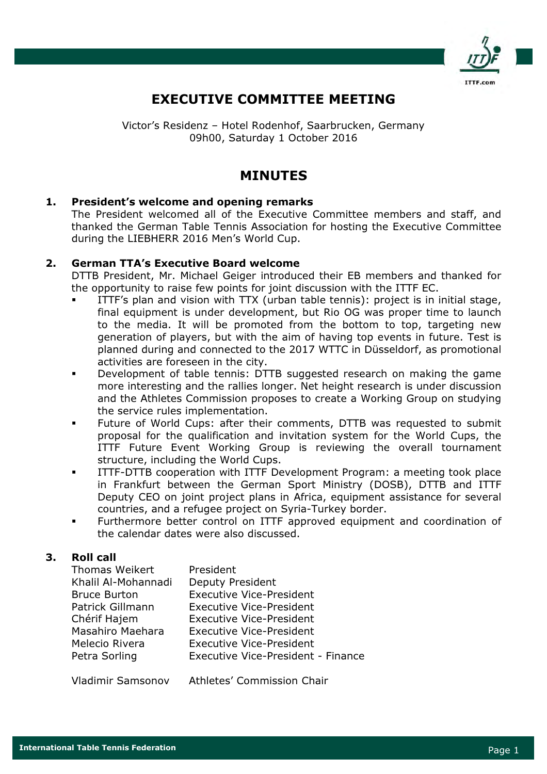

# EXECUTIVE COMMITTEE MEETING

Victor's Residenz – Hotel Rodenhof, Saarbrucken, Germany 09h00, Saturday 1 October 2016

# MINUTES

# 1. President's welcome and opening remarks

The President welcomed all of the Executive Committee members and staff, and thanked the German Table Tennis Association for hosting the Executive Committee during the LIEBHERR 2016 Men's World Cup.

## 2. German TTA's Executive Board welcome

DTTB President, Mr. Michael Geiger introduced their EB members and thanked for the opportunity to raise few points for joint discussion with the ITTF EC.

- ITTF's plan and vision with TTX (urban table tennis): project is in initial stage, final equipment is under development, but Rio OG was proper time to launch to the media. It will be promoted from the bottom to top, targeting new generation of players, but with the aim of having top events in future. Test is planned during and connected to the 2017 WTTC in Düsseldorf, as promotional activities are foreseen in the city.
- Development of table tennis: DTTB suggested research on making the game more interesting and the rallies longer. Net height research is under discussion and the Athletes Commission proposes to create a Working Group on studying the service rules implementation.
- Future of World Cups: after their comments, DTTB was requested to submit proposal for the qualification and invitation system for the World Cups, the ITTF Future Event Working Group is reviewing the overall tournament structure, including the World Cups.
- ITTF-DTTB cooperation with ITTF Development Program: a meeting took place in Frankfurt between the German Sport Ministry (DOSB), DTTB and ITTF Deputy CEO on joint project plans in Africa, equipment assistance for several countries, and a refugee project on Syria-Turkey border.
- Furthermore better control on ITTF approved equipment and coordination of the calendar dates were also discussed.

# 3. Roll call

| Thomas Weikert<br>Khalil Al-Mohannadi<br><b>Bruce Burton</b><br>Patrick Gillmann<br>Chérif Hajem<br>Masahiro Maehara<br>Melecio Rivera | President<br>Deputy President<br><b>Executive Vice-President</b><br><b>Executive Vice-President</b><br><b>Executive Vice-President</b><br>Executive Vice-President<br><b>Executive Vice-President</b> |
|----------------------------------------------------------------------------------------------------------------------------------------|-------------------------------------------------------------------------------------------------------------------------------------------------------------------------------------------------------|
| Petra Sorling                                                                                                                          | Executive Vice-President - Finance                                                                                                                                                                    |
| Vladimir Samsonov                                                                                                                      | Athletes' Commission Chair                                                                                                                                                                            |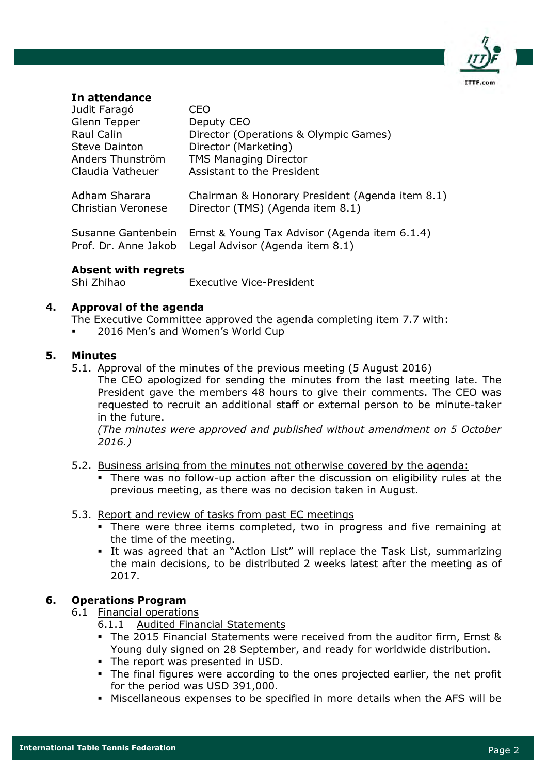

## In attendance

| Judit Faragó         | CEO                                             |
|----------------------|-------------------------------------------------|
| Glenn Tepper         | Deputy CEO                                      |
| Raul Calin           | Director (Operations & Olympic Games)           |
| Steve Dainton        | Director (Marketing)                            |
| Anders Thunström     | <b>TMS Managing Director</b>                    |
| Claudia Vatheuer     | Assistant to the President                      |
|                      |                                                 |
| Adham Sharara        | Chairman & Honorary President (Agenda item 8.1) |
| Christian Veronese   | Director (TMS) (Agenda item 8.1)                |
|                      |                                                 |
| Susanne Gantenbein   | Ernst & Young Tax Advisor (Agenda item 6.1.4)   |
| Prof. Dr. Anne Jakob | Legal Advisor (Agenda item 8.1)                 |
|                      |                                                 |

#### Absent with regrets

Shi Zhihao Executive Vice-President

## 4. Approval of the agenda

- The Executive Committee approved the agenda completing item 7.7 with:
- 2016 Men's and Women's World Cup

## 5. Minutes

5.1. Approval of the minutes of the previous meeting (5 August 2016)

The CEO apologized for sending the minutes from the last meeting late. The President gave the members 48 hours to give their comments. The CEO was requested to recruit an additional staff or external person to be minute-taker in the future.

(The minutes were approved and published without amendment on 5 October 2016.)

- 5.2. Business arising from the minutes not otherwise covered by the agenda:
	- There was no follow-up action after the discussion on eligibility rules at the previous meeting, as there was no decision taken in August.

#### 5.3. Report and review of tasks from past EC meetings

- There were three items completed, two in progress and five remaining at the time of the meeting.
- It was agreed that an "Action List" will replace the Task List, summarizing the main decisions, to be distributed 2 weeks latest after the meeting as of 2017.

# 6. Operations Program

- 6.1 Financial operations
	- 6.1.1 Audited Financial Statements
	- The 2015 Financial Statements were received from the auditor firm, Ernst & Young duly signed on 28 September, and ready for worldwide distribution.
	- The report was presented in USD.
	- The final figures were according to the ones projected earlier, the net profit for the period was USD 391,000.
	- Miscellaneous expenses to be specified in more details when the AFS will be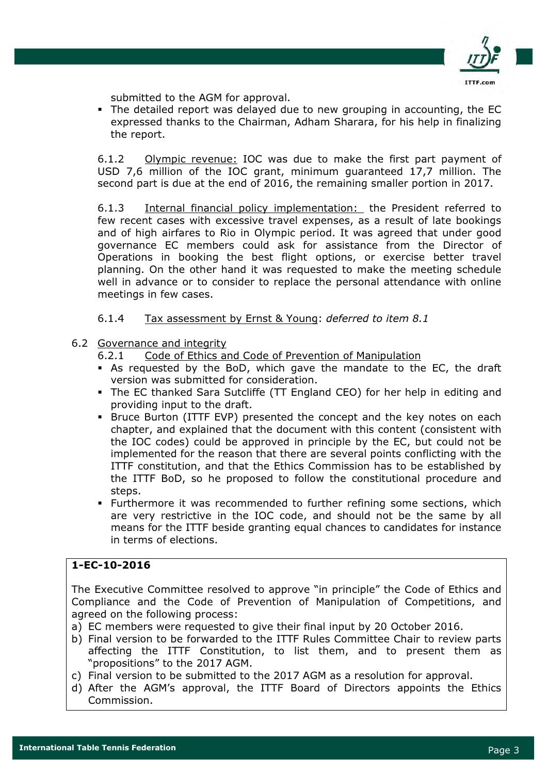

submitted to the AGM for approval.

 The detailed report was delayed due to new grouping in accounting, the EC expressed thanks to the Chairman, Adham Sharara, for his help in finalizing the report.

6.1.2 Olympic revenue: IOC was due to make the first part payment of USD 7,6 million of the IOC grant, minimum guaranteed 17,7 million. The second part is due at the end of 2016, the remaining smaller portion in 2017.

6.1.3 Internal financial policy implementation: the President referred to few recent cases with excessive travel expenses, as a result of late bookings and of high airfares to Rio in Olympic period. It was agreed that under good governance EC members could ask for assistance from the Director of Operations in booking the best flight options, or exercise better travel planning. On the other hand it was requested to make the meeting schedule well in advance or to consider to replace the personal attendance with online meetings in few cases.

## 6.1.4 Tax assessment by Ernst & Young: deferred to item 8.1

- 6.2 Governance and integrity
	- 6.2.1 Code of Ethics and Code of Prevention of Manipulation
	- As requested by the BoD, which gave the mandate to the EC, the draft version was submitted for consideration.
	- The EC thanked Sara Sutcliffe (TT England CEO) for her help in editing and providing input to the draft.
	- Bruce Burton (ITTF EVP) presented the concept and the key notes on each chapter, and explained that the document with this content (consistent with the IOC codes) could be approved in principle by the EC, but could not be implemented for the reason that there are several points conflicting with the ITTF constitution, and that the Ethics Commission has to be established by the ITTF BoD, so he proposed to follow the constitutional procedure and steps.
	- Furthermore it was recommended to further refining some sections, which are very restrictive in the IOC code, and should not be the same by all means for the ITTF beside granting equal chances to candidates for instance in terms of elections.

# 1-EC-10-2016

The Executive Committee resolved to approve "in principle" the Code of Ethics and Compliance and the Code of Prevention of Manipulation of Competitions, and agreed on the following process:

- a) EC members were requested to give their final input by 20 October 2016.
- b) Final version to be forwarded to the ITTF Rules Committee Chair to review parts affecting the ITTF Constitution, to list them, and to present them as "propositions" to the 2017 AGM.
- c) Final version to be submitted to the 2017 AGM as a resolution for approval.
- d) After the AGM's approval, the ITTF Board of Directors appoints the Ethics Commission.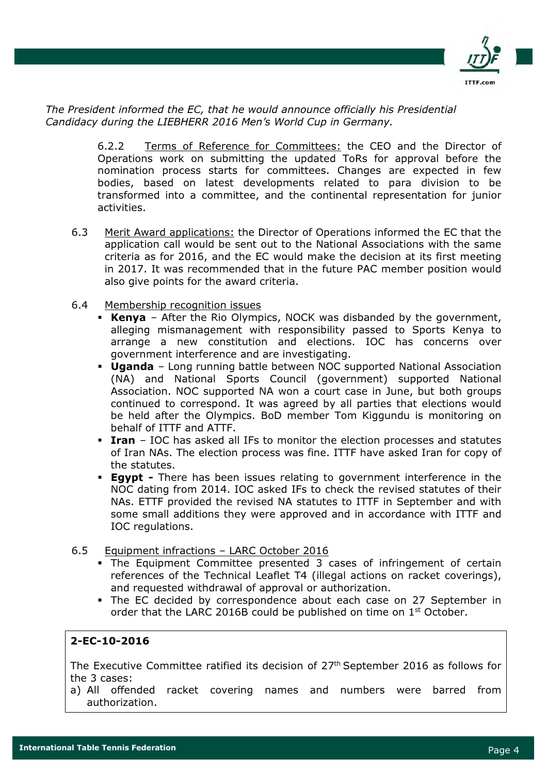

The President informed the EC, that he would announce officially his Presidential Candidacy during the LIEBHERR 2016 Men's World Cup in Germany.

> 6.2.2 Terms of Reference for Committees: the CEO and the Director of Operations work on submitting the updated ToRs for approval before the nomination process starts for committees. Changes are expected in few bodies, based on latest developments related to para division to be transformed into a committee, and the continental representation for junior activities.

- 6.3 Merit Award applications: the Director of Operations informed the EC that the application call would be sent out to the National Associations with the same criteria as for 2016, and the EC would make the decision at its first meeting in 2017. It was recommended that in the future PAC member position would also give points for the award criteria.
- 6.4 Membership recognition issues
	- **Kenya** After the Rio Olympics, NOCK was disbanded by the government, alleging mismanagement with responsibility passed to Sports Kenya to arrange a new constitution and elections. IOC has concerns over government interference and are investigating.
	- **Uganda** Long running battle between NOC supported National Association (NA) and National Sports Council (government) supported National Association. NOC supported NA won a court case in June, but both groups continued to correspond. It was agreed by all parties that elections would be held after the Olympics. BoD member Tom Kiggundu is monitoring on behalf of ITTF and ATTF.
	- **Iran** IOC has asked all IFs to monitor the election processes and statutes of Iran NAs. The election process was fine. ITTF have asked Iran for copy of the statutes.
	- **Egypt** There has been issues relating to government interference in the NOC dating from 2014. IOC asked IFs to check the revised statutes of their NAs. ETTF provided the revised NA statutes to ITTF in September and with some small additions they were approved and in accordance with ITTF and IOC regulations.
- 6.5 Equipment infractions LARC October 2016
	- The Equipment Committee presented 3 cases of infringement of certain references of the Technical Leaflet T4 (illegal actions on racket coverings), and requested withdrawal of approval or authorization.
	- The EC decided by correspondence about each case on 27 September in order that the LARC 2016B could be published on time on  $1<sup>st</sup>$  October.

# 2-EC-10-2016

The Executive Committee ratified its decision of 27th September 2016 as follows for the 3 cases:

a) All offended racket covering names and numbers were barred from authorization.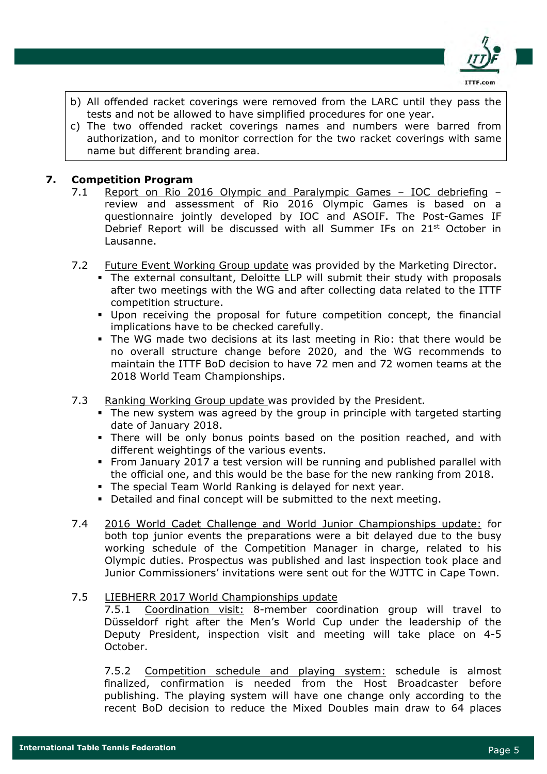

- b) All offended racket coverings were removed from the LARC until they pass the tests and not be allowed to have simplified procedures for one year.
- c) The two offended racket coverings names and numbers were barred from authorization, and to monitor correction for the two racket coverings with same name but different branding area.

### 7. Competition Program

- 7.1 Report on Rio 2016 Olympic and Paralympic Games IOC debriefing review and assessment of Rio 2016 Olympic Games is based on a questionnaire jointly developed by IOC and ASOIF. The Post-Games IF Debrief Report will be discussed with all Summer IFs on 21<sup>st</sup> October in Lausanne.
- 7.2 Future Event Working Group update was provided by the Marketing Director.
	- The external consultant, Deloitte LLP will submit their study with proposals after two meetings with the WG and after collecting data related to the ITTF competition structure.
	- Upon receiving the proposal for future competition concept, the financial implications have to be checked carefully.
	- The WG made two decisions at its last meeting in Rio: that there would be no overall structure change before 2020, and the WG recommends to maintain the ITTF BoD decision to have 72 men and 72 women teams at the 2018 World Team Championships.
- 7.3 Ranking Working Group update was provided by the President.
	- The new system was agreed by the group in principle with targeted starting date of January 2018.
	- There will be only bonus points based on the position reached, and with different weightings of the various events.
	- From January 2017 a test version will be running and published parallel with the official one, and this would be the base for the new ranking from 2018.
	- The special Team World Ranking is delayed for next year.
	- Detailed and final concept will be submitted to the next meeting.
- 7.4 2016 World Cadet Challenge and World Junior Championships update: for both top junior events the preparations were a bit delayed due to the busy working schedule of the Competition Manager in charge, related to his Olympic duties. Prospectus was published and last inspection took place and Junior Commissioners' invitations were sent out for the WJTTC in Cape Town.

#### 7.5 LIEBHERR 2017 World Championships update

7.5.1 Coordination visit: 8-member coordination group will travel to Düsseldorf right after the Men's World Cup under the leadership of the Deputy President, inspection visit and meeting will take place on 4-5 October.

7.5.2 Competition schedule and playing system: schedule is almost finalized, confirmation is needed from the Host Broadcaster before publishing. The playing system will have one change only according to the recent BoD decision to reduce the Mixed Doubles main draw to 64 places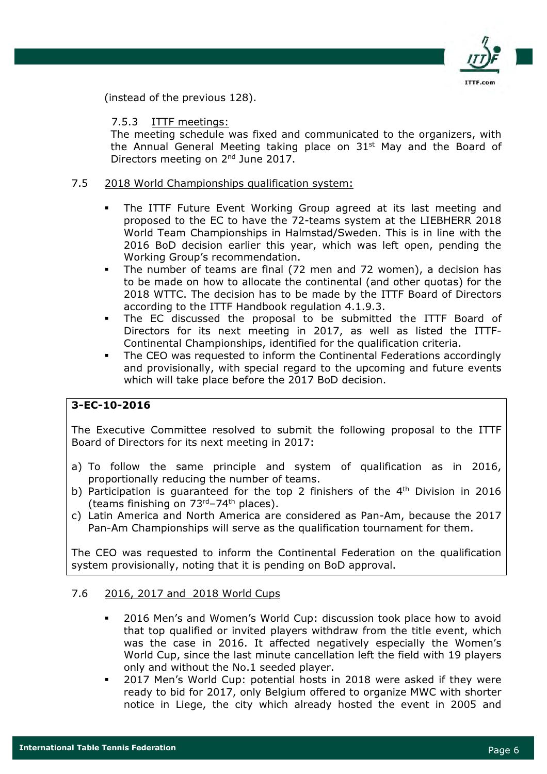

(instead of the previous 128).

#### 7.5.3 ITTF meetings:

The meeting schedule was fixed and communicated to the organizers, with the Annual General Meeting taking place on 31<sup>st</sup> May and the Board of Directors meeting on 2<sup>nd</sup> June 2017.

- 7.5 2018 World Championships qualification system:
	- The ITTF Future Event Working Group agreed at its last meeting and proposed to the EC to have the 72-teams system at the LIEBHERR 2018 World Team Championships in Halmstad/Sweden. This is in line with the 2016 BoD decision earlier this year, which was left open, pending the Working Group's recommendation.
	- The number of teams are final (72 men and 72 women), a decision has to be made on how to allocate the continental (and other quotas) for the 2018 WTTC. The decision has to be made by the ITTF Board of Directors according to the ITTF Handbook regulation 4.1.9.3.
	- The EC discussed the proposal to be submitted the ITTF Board of Directors for its next meeting in 2017, as well as listed the ITTF-Continental Championships, identified for the qualification criteria.
	- The CEO was requested to inform the Continental Federations accordingly and provisionally, with special regard to the upcoming and future events which will take place before the 2017 BoD decision.

# 3-EC-10-2016

The Executive Committee resolved to submit the following proposal to the ITTF Board of Directors for its next meeting in 2017:

- a) To follow the same principle and system of qualification as in 2016, proportionally reducing the number of teams.
- b) Participation is guaranteed for the top 2 finishers of the 4<sup>th</sup> Division in 2016 (teams finishing on  $73<sup>rd</sup>-74<sup>th</sup>$  places).
- c) Latin America and North America are considered as Pan-Am, because the 2017 Pan-Am Championships will serve as the qualification tournament for them.

The CEO was requested to inform the Continental Federation on the qualification system provisionally, noting that it is pending on BoD approval.

#### 7.6 2016, 2017 and 2018 World Cups

- 2016 Men's and Women's World Cup: discussion took place how to avoid that top qualified or invited players withdraw from the title event, which was the case in 2016. It affected negatively especially the Women's World Cup, since the last minute cancellation left the field with 19 players only and without the No.1 seeded player.
- 2017 Men's World Cup: potential hosts in 2018 were asked if they were ready to bid for 2017, only Belgium offered to organize MWC with shorter notice in Liege, the city which already hosted the event in 2005 and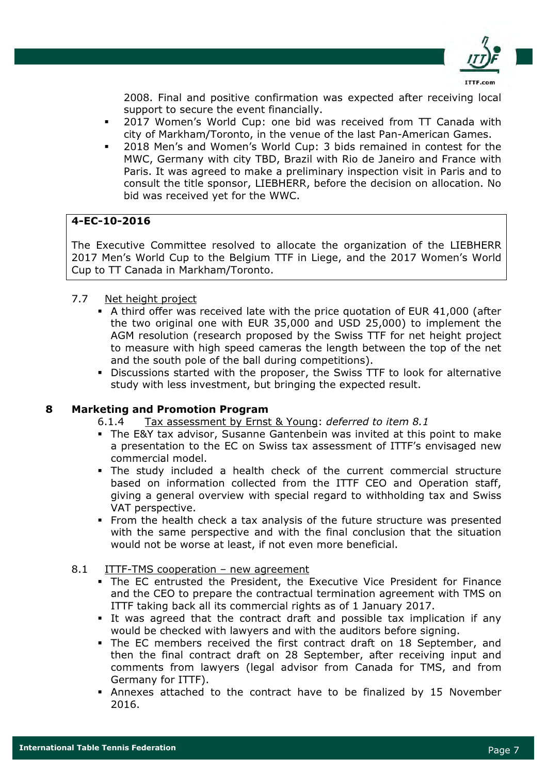

2008. Final and positive confirmation was expected after receiving local support to secure the event financially.

- 2017 Women's World Cup: one bid was received from TT Canada with city of Markham/Toronto, in the venue of the last Pan-American Games.
- 2018 Men's and Women's World Cup: 3 bids remained in contest for the MWC, Germany with city TBD, Brazil with Rio de Janeiro and France with Paris. It was agreed to make a preliminary inspection visit in Paris and to consult the title sponsor, LIEBHERR, before the decision on allocation. No bid was received yet for the WWC.

## 4-EC-10-2016

The Executive Committee resolved to allocate the organization of the LIEBHERR 2017 Men's World Cup to the Belgium TTF in Liege, and the 2017 Women's World Cup to TT Canada in Markham/Toronto.

## 7.7 Net height project

- A third offer was received late with the price quotation of EUR 41,000 (after the two original one with EUR 35,000 and USD 25,000) to implement the AGM resolution (research proposed by the Swiss TTF for net height project to measure with high speed cameras the length between the top of the net and the south pole of the ball during competitions).
- Discussions started with the proposer, the Swiss TTF to look for alternative study with less investment, but bringing the expected result.

#### 8 Marketing and Promotion Program

6.1.4 Tax assessment by Ernst & Young: deferred to item 8.1

- The E&Y tax advisor, Susanne Gantenbein was invited at this point to make a presentation to the EC on Swiss tax assessment of ITTF's envisaged new commercial model.
- The study included a health check of the current commercial structure based on information collected from the ITTF CEO and Operation staff, giving a general overview with special regard to withholding tax and Swiss VAT perspective.
- From the health check a tax analysis of the future structure was presented with the same perspective and with the final conclusion that the situation would not be worse at least, if not even more beneficial.

#### 8.1 ITTF-TMS cooperation – new agreement

- The EC entrusted the President, the Executive Vice President for Finance and the CEO to prepare the contractual termination agreement with TMS on ITTF taking back all its commercial rights as of 1 January 2017.
- It was agreed that the contract draft and possible tax implication if any would be checked with lawyers and with the auditors before signing.
- The EC members received the first contract draft on 18 September, and then the final contract draft on 28 September, after receiving input and comments from lawyers (legal advisor from Canada for TMS, and from Germany for ITTF).
- Annexes attached to the contract have to be finalized by 15 November 2016.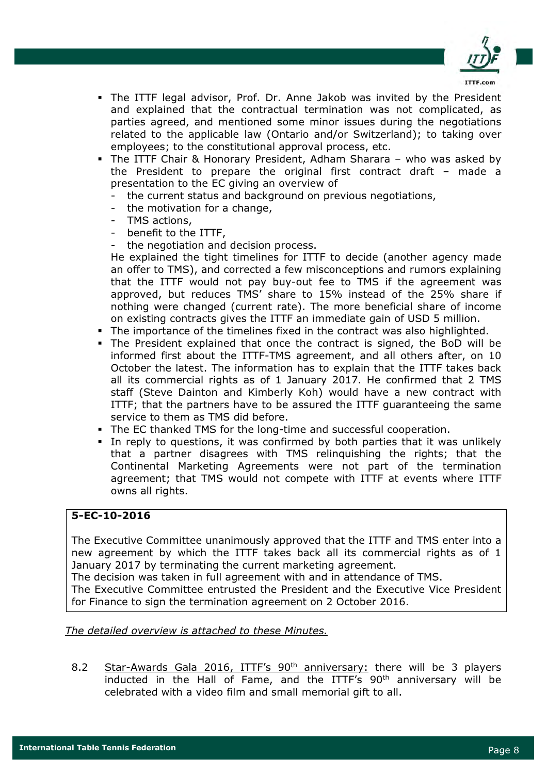

- The ITTF legal advisor, Prof. Dr. Anne Jakob was invited by the President and explained that the contractual termination was not complicated, as parties agreed, and mentioned some minor issues during the negotiations related to the applicable law (Ontario and/or Switzerland); to taking over employees; to the constitutional approval process, etc.
- The ITTF Chair & Honorary President, Adham Sharara who was asked by the President to prepare the original first contract draft – made a presentation to the EC giving an overview of
	- the current status and background on previous negotiations,
	- the motivation for a change,
	- TMS actions,
	- benefit to the ITTF,
	- the negotiation and decision process.

He explained the tight timelines for ITTF to decide (another agency made an offer to TMS), and corrected a few misconceptions and rumors explaining that the ITTF would not pay buy-out fee to TMS if the agreement was approved, but reduces TMS' share to 15% instead of the 25% share if nothing were changed (current rate). The more beneficial share of income on existing contracts gives the ITTF an immediate gain of USD 5 million.

- The importance of the timelines fixed in the contract was also highlighted.
- The President explained that once the contract is signed, the BoD will be informed first about the ITTF-TMS agreement, and all others after, on 10 October the latest. The information has to explain that the ITTF takes back all its commercial rights as of 1 January 2017. He confirmed that 2 TMS staff (Steve Dainton and Kimberly Koh) would have a new contract with ITTF; that the partners have to be assured the ITTF guaranteeing the same service to them as TMS did before.
- The EC thanked TMS for the long-time and successful cooperation.
- In reply to questions, it was confirmed by both parties that it was unlikely that a partner disagrees with TMS relinquishing the rights; that the Continental Marketing Agreements were not part of the termination agreement; that TMS would not compete with ITTF at events where ITTF owns all rights.

#### 5-EC-10-2016

The Executive Committee unanimously approved that the ITTF and TMS enter into a new agreement by which the ITTF takes back all its commercial rights as of 1 January 2017 by terminating the current marketing agreement.

The decision was taken in full agreement with and in attendance of TMS.

The Executive Committee entrusted the President and the Executive Vice President for Finance to sign the termination agreement on 2 October 2016.

#### The detailed overview is attached to these Minutes.

8.2 Star-Awards Gala 2016, ITTF's 90<sup>th</sup> anniversary: there will be 3 players inducted in the Hall of Fame, and the ITTF's 90<sup>th</sup> anniversary will be celebrated with a video film and small memorial gift to all.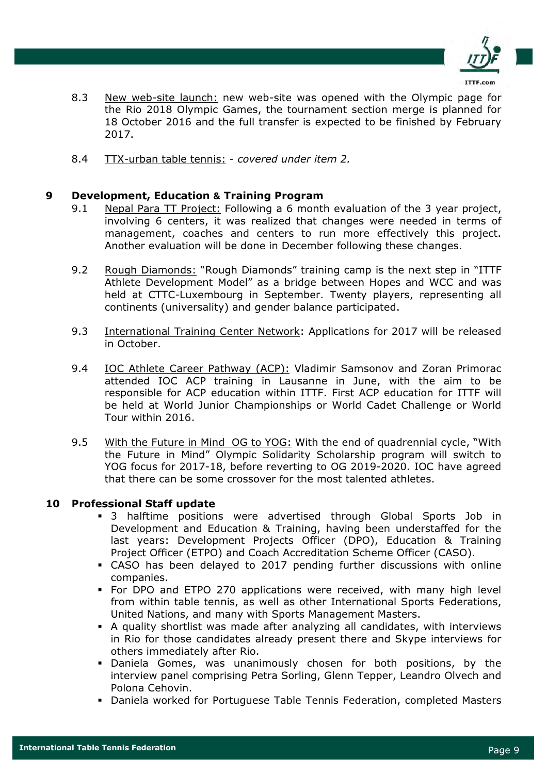

- 8.3 New web-site launch: new web-site was opened with the Olympic page for the Rio 2018 Olympic Games, the tournament section merge is planned for 18 October 2016 and the full transfer is expected to be finished by February 2017.
- 8.4 TTX-urban table tennis: covered under item 2.

## 9 Development, Education & Training Program

- 9.1 Nepal Para TT Project: Following a 6 month evaluation of the 3 year project, involving 6 centers, it was realized that changes were needed in terms of management, coaches and centers to run more effectively this project. Another evaluation will be done in December following these changes.
- 9.2 Rough Diamonds: "Rough Diamonds" training camp is the next step in "ITTF Athlete Development Model" as a bridge between Hopes and WCC and was held at CTTC-Luxembourg in September. Twenty players, representing all continents (universality) and gender balance participated.
- 9.3 International Training Center Network: Applications for 2017 will be released in October.
- 9.4 IOC Athlete Career Pathway (ACP): Vladimir Samsonov and Zoran Primorac attended IOC ACP training in Lausanne in June, with the aim to be responsible for ACP education within ITTF. First ACP education for ITTF will be held at World Junior Championships or World Cadet Challenge or World Tour within 2016.
- 9.5 With the Future in Mind OG to YOG: With the end of quadrennial cycle, "With the Future in Mind" Olympic Solidarity Scholarship program will switch to YOG focus for 2017-18, before reverting to OG 2019-2020. IOC have agreed that there can be some crossover for the most talented athletes.

#### 10 Professional Staff update

- 3 halftime positions were advertised through Global Sports Job in Development and Education & Training, having been understaffed for the last years: Development Projects Officer (DPO), Education & Training Project Officer (ETPO) and Coach Accreditation Scheme Officer (CASO).
- CASO has been delayed to 2017 pending further discussions with online companies.
- For DPO and ETPO 270 applications were received, with many high level from within table tennis, as well as other International Sports Federations, United Nations, and many with Sports Management Masters.
- A quality shortlist was made after analyzing all candidates, with interviews in Rio for those candidates already present there and Skype interviews for others immediately after Rio.
- Daniela Gomes, was unanimously chosen for both positions, by the interview panel comprising Petra Sorling, Glenn Tepper, Leandro Olvech and Polona Cehovin.
- Daniela worked for Portuguese Table Tennis Federation, completed Masters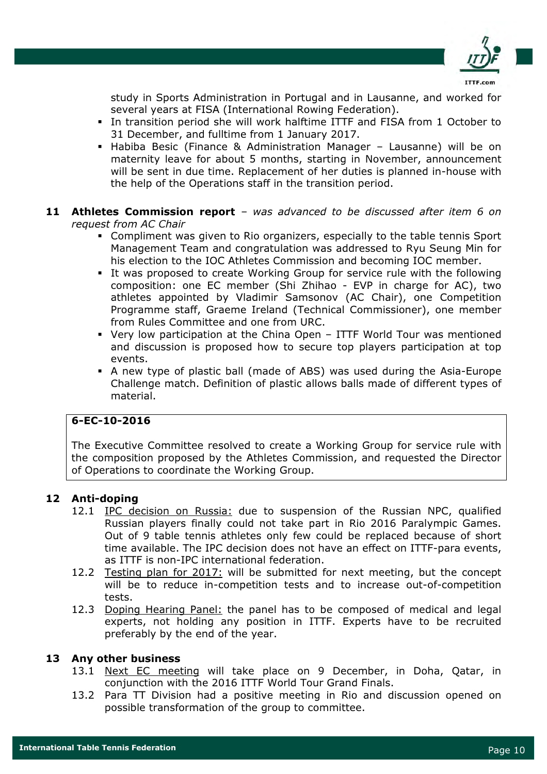

study in Sports Administration in Portugal and in Lausanne, and worked for several years at FISA (International Rowing Federation).

- In transition period she will work halftime ITTF and FISA from 1 October to 31 December, and fulltime from 1 January 2017.
- Habiba Besic (Finance & Administration Manager Lausanne) will be on maternity leave for about 5 months, starting in November, announcement will be sent in due time. Replacement of her duties is planned in-house with the help of the Operations staff in the transition period.
- 11 Athletes Commission report was advanced to be discussed after item 6 on request from AC Chair
	- Compliment was given to Rio organizers, especially to the table tennis Sport Management Team and congratulation was addressed to Ryu Seung Min for his election to the IOC Athletes Commission and becoming IOC member.
	- It was proposed to create Working Group for service rule with the following composition: one EC member (Shi Zhihao - EVP in charge for AC), two athletes appointed by Vladimir Samsonov (AC Chair), one Competition Programme staff, Graeme Ireland (Technical Commissioner), one member from Rules Committee and one from URC.
	- Very low participation at the China Open ITTF World Tour was mentioned and discussion is proposed how to secure top players participation at top events.
	- A new type of plastic ball (made of ABS) was used during the Asia-Europe Challenge match. Definition of plastic allows balls made of different types of material.

# 6-EC-10-2016

The Executive Committee resolved to create a Working Group for service rule with the composition proposed by the Athletes Commission, and requested the Director of Operations to coordinate the Working Group.

# 12 Anti-doping

- 12.1 IPC decision on Russia: due to suspension of the Russian NPC, qualified Russian players finally could not take part in Rio 2016 Paralympic Games. Out of 9 table tennis athletes only few could be replaced because of short time available. The IPC decision does not have an effect on ITTF-para events, as ITTF is non-IPC international federation.
- 12.2 Testing plan for 2017: will be submitted for next meeting, but the concept will be to reduce in-competition tests and to increase out-of-competition tests.
- 12.3 Doping Hearing Panel: the panel has to be composed of medical and legal experts, not holding any position in ITTF. Experts have to be recruited preferably by the end of the year.

#### 13 Any other business

- 13.1 Next EC meeting will take place on 9 December, in Doha, Qatar, in conjunction with the 2016 ITTF World Tour Grand Finals.
- 13.2 Para TT Division had a positive meeting in Rio and discussion opened on possible transformation of the group to committee.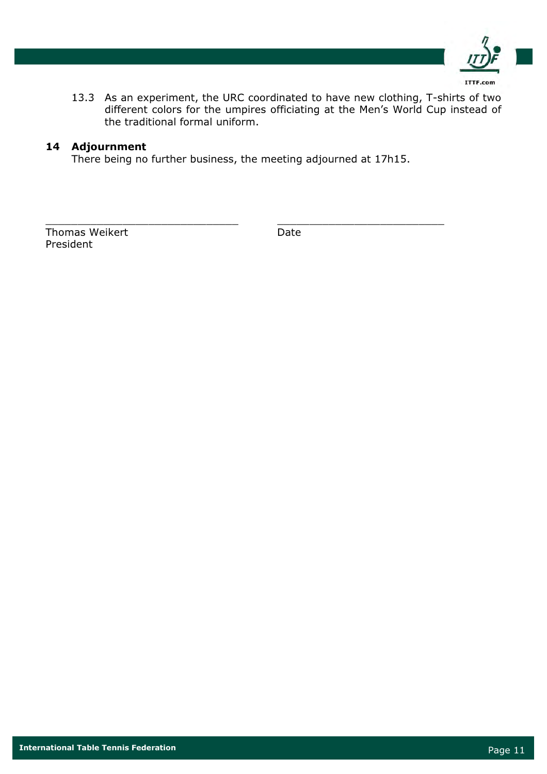

13.3 As an experiment, the URC coordinated to have new clothing, T-shirts of two different colors for the umpires officiating at the Men's World Cup instead of the traditional formal uniform.

# 14 Adjournment

There being no further business, the meeting adjourned at 17h15.

\_\_\_\_\_\_\_\_\_\_\_\_\_\_\_\_\_\_\_\_\_\_\_\_\_\_\_\_\_\_ \_\_\_\_\_\_\_\_\_\_\_\_\_\_\_\_\_\_\_\_\_\_\_\_\_\_

Thomas Weikert **Date** President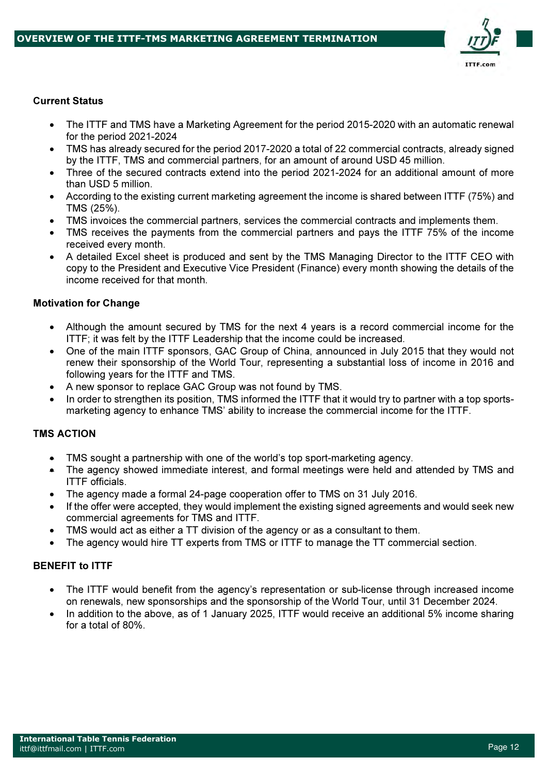

#### Current Status

- The ITTF and TMS have a Marketing Agreement for the period 2015-2020 with an automatic renewal for the period 2021-2024
- TMS has already secured for the period 2017-2020 a total of 22 commercial contracts, already signed by the ITTF, TMS and commercial partners, for an amount of around USD 45 million.
- Three of the secured contracts extend into the period 2021-2024 for an additional amount of more than USD 5 million.
- According to the existing current marketing agreement the income is shared between ITTF (75%) and TMS (25%).
- TMS invoices the commercial partners, services the commercial contracts and implements them.
- TMS receives the payments from the commercial partners and pays the ITTF 75% of the income received every month.
- A detailed Excel sheet is produced and sent by the TMS Managing Director to the ITTF CEO with copy to the President and Executive Vice President (Finance) every month showing the details of the income received for that month.

#### Motivation for Change

- Although the amount secured by TMS for the next 4 years is a record commercial income for the ITTF; it was felt by the ITTF Leadership that the income could be increased.
- One of the main ITTF sponsors, GAC Group of China, announced in July 2015 that they would not renew their sponsorship of the World Tour, representing a substantial loss of income in 2016 and following years for the ITTF and TMS.
- A new sponsor to replace GAC Group was not found by TMS.
- In order to strengthen its position, TMS informed the ITTF that it would try to partner with a top sportsmarketing agency to enhance TMS' ability to increase the commercial income for the ITTF.

#### TMS ACTION

- TMS sought a partnership with one of the world's top sport-marketing agency.
- The agency showed immediate interest, and formal meetings were held and attended by TMS and ITTF officials.
- The agency made a formal 24-page cooperation offer to TMS on 31 July 2016.
- If the offer were accepted, they would implement the existing signed agreements and would seek new commercial agreements for TMS and ITTF.
- TMS would act as either a TT division of the agency or as a consultant to them.
- The agency would hire TT experts from TMS or ITTF to manage the TT commercial section.

#### BENEFIT to ITTF

- The ITTF would benefit from the agency's representation or sub-license through increased income on renewals, new sponsorships and the sponsorship of the World Tour, until 31 December 2024.
- In addition to the above, as of 1 January 2025, ITTF would receive an additional 5% income sharing for a total of 80%.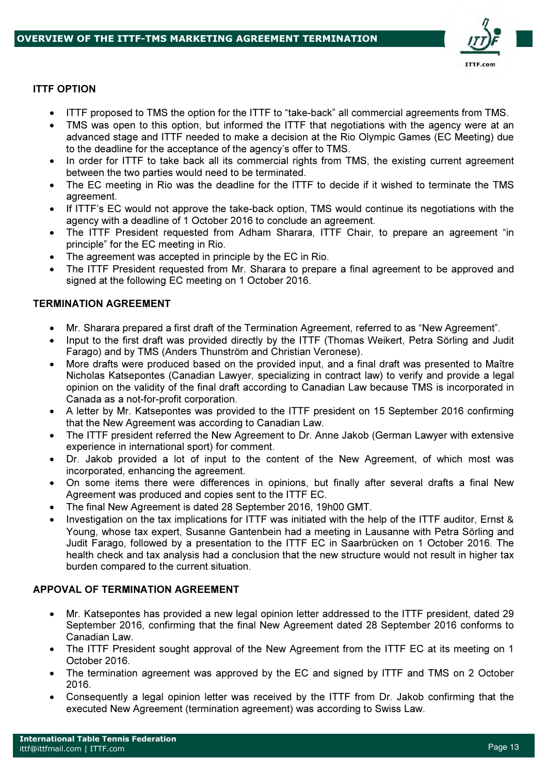

### ITTF OPTION

- ITTF proposed to TMS the option for the ITTF to "take-back" all commercial agreements from TMS.
- TMS was open to this option, but informed the ITTF that negotiations with the agency were at an advanced stage and ITTF needed to make a decision at the Rio Olympic Games (EC Meeting) due to the deadline for the acceptance of the agency's offer to TMS.
- In order for ITTF to take back all its commercial rights from TMS, the existing current agreement between the two parties would need to be terminated.
- The EC meeting in Rio was the deadline for the ITTF to decide if it wished to terminate the TMS agreement.
- If ITTF's EC would not approve the take-back option, TMS would continue its negotiations with the agency with a deadline of 1 October 2016 to conclude an agreement.
- The ITTF President requested from Adham Sharara, ITTF Chair, to prepare an agreement "in principle" for the EC meeting in Rio.
- The agreement was accepted in principle by the EC in Rio.
- The ITTF President requested from Mr. Sharara to prepare a final agreement to be approved and signed at the following EC meeting on 1 October 2016.

#### TERMINATION AGREEMENT

- Mr. Sharara prepared a first draft of the Termination Agreement, referred to as "New Agreement".
- Input to the first draft was provided directly by the ITTF (Thomas Weikert, Petra Sörling and Judit Farago) and by TMS (Anders Thunström and Christian Veronese).
- More drafts were produced based on the provided input, and a final draft was presented to Maître Nicholas Katsepontes (Canadian Lawyer, specializing in contract law) to verify and provide a legal opinion on the validity of the final draft according to Canadian Law because TMS is incorporated in Canada as a not-for-profit corporation.
- A letter by Mr. Katsepontes was provided to the ITTF president on 15 September 2016 confirming that the New Agreement was according to Canadian Law.
- The ITTF president referred the New Agreement to Dr. Anne Jakob (German Lawyer with extensive experience in international sport) for comment.
- Dr. Jakob provided a lot of input to the content of the New Agreement, of which most was incorporated, enhancing the agreement.
- On some items there were differences in opinions, but finally after several drafts a final New Agreement was produced and copies sent to the ITTF EC.
- The final New Agreement is dated 28 September 2016, 19h00 GMT.
- Investigation on the tax implications for ITTF was initiated with the help of the ITTF auditor, Ernst & Young, whose tax expert, Susanne Gantenbein had a meeting in Lausanne with Petra Sörling and Judit Farago, followed by a presentation to the ITTF EC in Saarbrücken on 1 October 2016. The health check and tax analysis had a conclusion that the new structure would not result in higher tax burden compared to the current situation.

#### APPOVAL OF TERMINATION AGREEMENT

- Mr. Katsepontes has provided a new legal opinion letter addressed to the ITTF president, dated 29 September 2016, confirming that the final New Agreement dated 28 September 2016 conforms to Canadian Law.
- The ITTF President sought approval of the New Agreement from the ITTF EC at its meeting on 1 October 2016.
- The termination agreement was approved by the EC and signed by ITTF and TMS on 2 October 2016.
- Consequently a legal opinion letter was received by the ITTF from Dr. Jakob confirming that the executed New Agreement (termination agreement) was according to Swiss Law.